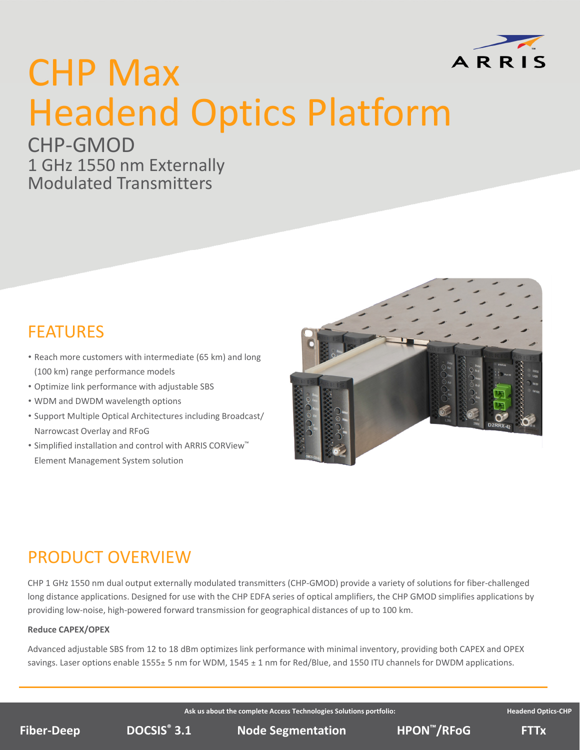

# CHP Max Headend Optics Platform

## CHP‐GMOD 1 GHz 1550 nm Externally

Modulated Transmitters

## FEATURES

- Reach more customers with intermediate (65 km) and long (100 km) range performance models
- Optimize link performance with adjustable SBS
- WDM and DWDM wavelength options
- Support Multiple Optical Architectures including Broadcast/ Narrowcast Overlay and RFoG
- Simplified installation and control with ARRIS CORView™ Element Management System solution



## PRODUCT OVERVIEW

CHP 1 GHz 1550 nm dual output externally modulated transmitters (CHP‐GMOD) provide a variety of solutions for fiber‐challenged long distance applications. Designed for use with the CHP EDFA series of optical amplifiers, the CHP GMOD simplifies applications by providing low‐noise, high‐powered forward transmission for geographical distances of up to 100 km.

#### **Reduce CAPEX/OPEX**

Advanced adjustable SBS from 12 to 18 dBm optimizes link performance with minimal inventory, providing both CAPEX and OPEX savings. Laser options enable 1555 $\pm$  5 nm for WDM, 1545  $\pm$  1 nm for Red/Blue, and 1550 ITU channels for DWDM applications.

**Ask us about the complete Access Technologies Solutions portfolio: Headend Optics‐CHP**

**DOCSIS<sup>®</sup> 3.1 Node Segmentation BPON<sup>™</sup>/RFoG FTTx**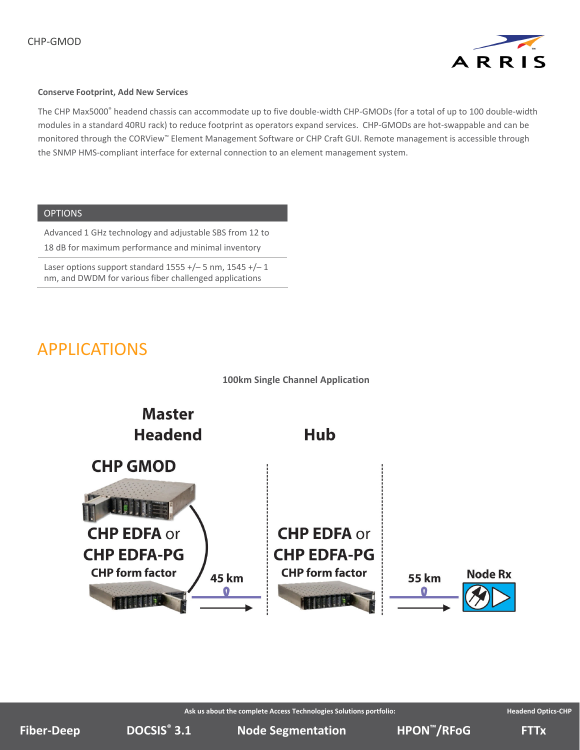

#### **Conserve Footprint, Add New Services**

The CHP Max5000® headend chassis can accommodate up to five double-width CHP-GMODs (for a total of up to 100 double-width modules in a standard 40RU rack) to reduce footprint as operators expand services. CHP‐GMODs are hot‐swappable and can be monitored through the CORView™ Element Management Software or CHP Craft GUI. Remote management is accessible through the SNMP HMS‐compliant interface for external connection to an element management system.

#### **OPTIONS**

Advanced 1 GHz technology and adjustable SBS from 12 to 18 dB for maximum performance and minimal inventory

Laser options support standard  $1555 +/- 5$  nm,  $1545 +/- 1$ nm, and DWDM for various fiber challenged applications

### APPLICATIONS





**Ask us about the complete Access Technologies Solutions portfolio: Headend Optics‐CHP**

**DOCSIS Node Segmentation ® Fiber‐Deep HPON 3.1 ™/RFoG FTTx**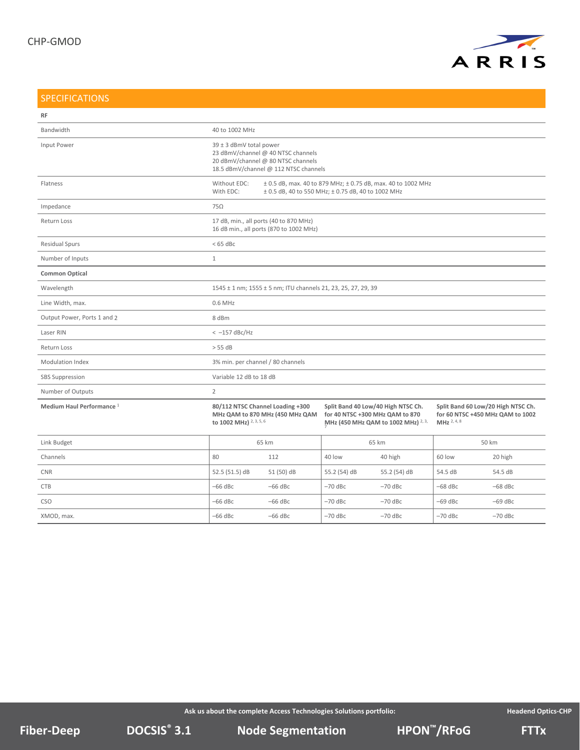

#### SPECIFICATIONS

| <b>RF</b>                            |                                                                                                                                                 |            |                                                                                                              |              |                                                                                                  |           |
|--------------------------------------|-------------------------------------------------------------------------------------------------------------------------------------------------|------------|--------------------------------------------------------------------------------------------------------------|--------------|--------------------------------------------------------------------------------------------------|-----------|
| Bandwidth                            | 40 to 1002 MHz                                                                                                                                  |            |                                                                                                              |              |                                                                                                  |           |
| Input Power                          | 39 ± 3 dBmV total power<br>23 dBmV/channel @ 40 NTSC channels<br>20 dBmV/channel @ 80 NTSC channels<br>18.5 dBmV/channel @ 112 NTSC channels    |            |                                                                                                              |              |                                                                                                  |           |
| Flatness                             | Without EDC:<br>± 0.5 dB, max. 40 to 879 MHz; ± 0.75 dB, max. 40 to 1002 MHz<br>With EDC:<br>± 0.5 dB, 40 to 550 MHz; ± 0.75 dB, 40 to 1002 MHz |            |                                                                                                              |              |                                                                                                  |           |
| Impedance                            | $75\Omega$                                                                                                                                      |            |                                                                                                              |              |                                                                                                  |           |
| Return Loss                          | 17 dB, min., all ports (40 to 870 MHz)<br>16 dB min., all ports (870 to 1002 MHz)                                                               |            |                                                                                                              |              |                                                                                                  |           |
| <b>Residual Spurs</b>                | $< 65$ dBc                                                                                                                                      |            |                                                                                                              |              |                                                                                                  |           |
| Number of Inputs                     | $1\,$                                                                                                                                           |            |                                                                                                              |              |                                                                                                  |           |
| <b>Common Optical</b>                |                                                                                                                                                 |            |                                                                                                              |              |                                                                                                  |           |
| Wavelength                           | 1545 ± 1 nm; 1555 ± 5 nm; ITU channels 21, 23, 25, 27, 29, 39                                                                                   |            |                                                                                                              |              |                                                                                                  |           |
| Line Width, max.                     | 0.6 MHz                                                                                                                                         |            |                                                                                                              |              |                                                                                                  |           |
| Output Power, Ports 1 and 2          | 8 dBm                                                                                                                                           |            |                                                                                                              |              |                                                                                                  |           |
| Laser RIN                            | $<-157$ dBc/Hz                                                                                                                                  |            |                                                                                                              |              |                                                                                                  |           |
| Return Loss                          | > 55 dB                                                                                                                                         |            |                                                                                                              |              |                                                                                                  |           |
| <b>Modulation Index</b>              | 3% min. per channel / 80 channels                                                                                                               |            |                                                                                                              |              |                                                                                                  |           |
| <b>SBS Suppression</b>               | Variable 12 dB to 18 dB                                                                                                                         |            |                                                                                                              |              |                                                                                                  |           |
| Number of Outputs                    | $\overline{2}$                                                                                                                                  |            |                                                                                                              |              |                                                                                                  |           |
| Medium Haul Performance <sup>1</sup> | 80/112 NTSC Channel Loading +300<br>MHz QAM to 870 MHz (450 MHz QAM<br>to 1002 MHz) 2, 3, 5, 6                                                  |            | Split Band 40 Low/40 High NTSC Ch.<br>for 40 NTSC +300 MHz QAM to 870<br>MHz (450 MHz QAM to 1002 MHz) 2, 3, |              | Split Band 60 Low/20 High NTSC Ch.<br>for 60 NTSC +450 MHz QAM to 1002<br>MHz <sup>2, 4, 8</sup> |           |
| Link Budget                          | 65 km                                                                                                                                           |            | 65 km                                                                                                        |              | 50 km                                                                                            |           |
| Channels                             | 80                                                                                                                                              | 112        | 40 low                                                                                                       | 40 high      | 60 low                                                                                           | 20 high   |
| <b>CNR</b>                           | 52.5 (51.5) dB                                                                                                                                  | 51 (50) dB | 55.2 (54) dB                                                                                                 | 55.2 (54) dB | 54.5 dB                                                                                          | 54.5 dB   |
| <b>CTB</b>                           | $-66$ dBc                                                                                                                                       | $-66$ dBc  | $-70$ dBc                                                                                                    | $-70$ dBc    | $-68$ dBc                                                                                        | $-68$ dBc |
| <b>CSO</b>                           | $-66$ dBc                                                                                                                                       | $-66$ dBc  | $-70$ dBc                                                                                                    | $-70$ dBc    | $-69$ dBc                                                                                        | $-69$ dBc |
| XMOD, max.                           | $-66$ dBc                                                                                                                                       | $-66$ dBc  | $-70$ dBc                                                                                                    | $-70$ dBc    | $-70$ dBc                                                                                        | $-70$ dBc |

**Ask us about the complete Access Technologies Solutions portfolio: Headend Optics‐CHP**

**DOCSIS Node Segmentation ® Fiber‐Deep HPON 3.1 ™/RFoG FTTx**